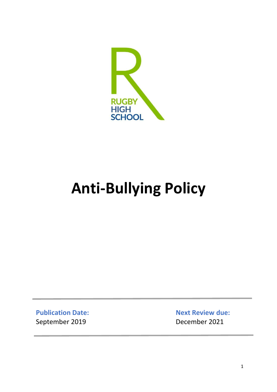

# **Anti-Bullying Policy**

**Publication Date:** September 2019

**Next Review due:** December 2021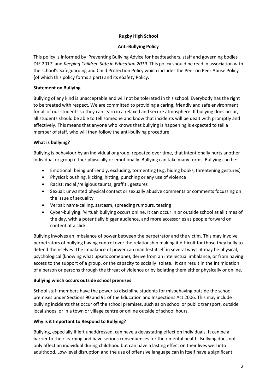# **Rugby High School**

# **Anti-Bullying Policy**

This policy is informed by 'Preventing Bullying Advice for headteachers, staff and governing bodies DfE 2017' and *Keeping Children Safe in Education 2019*. This policy should be read in association with the school's Safeguarding and Child Protection Policy which includes the Peer on Peer Abuse Policy **(**of which this policy forms a part) and its eSafety Policy.

# **Statement on Bullying**

Bullying of any kind is unacceptable and will not be tolerated in this school. Everybody has the right to be treated with respect. We are committed to providing a caring, friendly and safe environment for all of our students so they can learn in a relaxed and secure atmosphere. If bullying does occur, all students should be able to tell someone and know that incidents will be dealt with promptly and effectively. This means that anyone who knows that bullying is happening is expected to tell a member of staff, who will then follow the anti-bullying procedure.

# **What is bullying?**

Bullying is behaviour by an individual or group, repeated over time, that intentionally hurts another individual or group either physically or emotionally. Bullying can take many forms. Bullying can be:

- Emotional: being unfriendly, excluding, tormenting (e.g. hiding books, threatening gestures)
- Physical: pushing, kicking, hitting, punching or any use of violence
- Racist: racial /religious taunts, graffiti, gestures
- Sexual: unwanted physical contact or sexually abusive comments or comments focussing on the issue of sexuality
- Verbal: name-calling, sarcasm, spreading rumours, teasing
- Cyber-bullying: 'virtual' bullying occurs online. It can occur in or outside school at all times of the day, with a potentially bigger audience, and more accessories as people forward on content at a click.

Bullying involves an imbalance of power between the perpetrator and the victim. This may involve perpetrators of bullying having control over the relationship making it difficult for those they bully to defend themselves. The imbalance of power can manifest itself in several ways, it may be physical, psychological (knowing what upsets someone), derive from an intellectual imbalance, or from having access to the support of a group, or the capacity to socially isolate. It can result in the intimidation of a person or persons through the threat of violence or by isolating them either physically or online.

## **Bullying which occurs outside school premises**

School staff members have the power to discipline students for misbehaving outside the school premises under Sections 90 and 91 of the Education and Inspections Act 2006. This may include bullying incidents that occur off the school premises, such as on school or public transport, outside local shops, or in a town or village centre or online outside of school hours.

## **Why is it Important to Respond to Bullying?**

Bullying, especially if left unaddressed, can have a devastating effect on individuals. It can be a barrier to their learning and have serious consequences for their mental health. Bullying does not only affect an individual during childhood but can have a lasting effect on their lives well into adulthood. Low-level disruption and the use of offensive language can in itself have a significant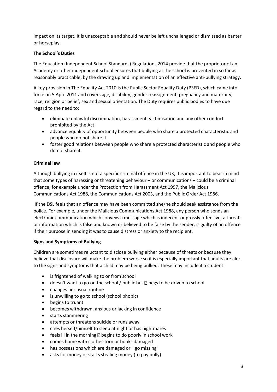impact on its target. It is unacceptable and should never be left unchallenged or dismissed as banter or horseplay.

## **The School's Duties**

The Education (Independent School Standards) Regulations 2014 provide that the proprietor of an Academy or other independent school ensures that bullying at the school is prevented in so far as reasonably practicable, by the drawing up and implementation of an effective anti-bullying strategy.

A key provision in The Equality Act 2010 is the Public Sector Equality Duty (PSED), which came into force on 5 April 2011 and covers age, disability, gender reassignment, pregnancy and maternity, race, religion or belief, sex and sexual orientation. The Duty requires public bodies to have due regard to the need to:

- eliminate unlawful discrimination, harassment, victimisation and any other conduct prohibited by the Act
- advance equality of opportunity between people who share a protected characteristic and people who do not share it
- foster good relations between people who share a protected characteristic and people who do not share it.

## **Criminal law**

Although bullying in itself is not a specific criminal offence in the UK, it is important to bear in mind that some types of harassing or threatening behaviour – or communications – could be a criminal offence, for example under the Protection from Harassment Act 1997, the Malicious Communications Act 1988, the Communications Act 2003, and the Public Order Act 1986.

If the DSL feels that an offence may have been committed she/he should seek assistance from the police. For example, under the Malicious Communications Act 1988, any person who sends an electronic communication which conveys a message which is indecent or grossly offensive, a threat, or information which is false and known or believed to be false by the sender, is guilty of an offence if their purpose in sending it was to cause distress or anxiety to the recipient.

## **Signs and Symptoms of Bullying**

Children are sometimes reluctant to disclose bullying either because of threats or because they believe that disclosure will make the problem worse so it is especially important that adults are alert to the signs and symptoms that a child may be being bullied. These may include if a student:

- is frightened of walking to or from school
- $\bullet$  doesn't want to go on the school / public bus  $\mathbb B$  begs to be driven to school
- changes her usual routine
- is unwilling to go to school (school phobic)
- begins to truant
- becomes withdrawn, anxious or lacking in confidence
- starts stammering
- attempts or threatens suicide or runs away
- cries herself/himself to sleep at night or has nightmares
- $\bullet$  feels ill in the morning **D** begins to do poorly in school work
- comes home with clothes torn or books damaged
- has possessions which are damaged or " go missing"
- asks for money or starts stealing money (to pay bully)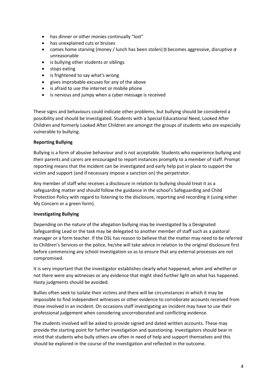- has dinner or other monies continually "lost"
- has unexplained cuts or bruises
- **•** comes home starving (money / lunch has been stolen)  $\mathbb{D}$  becomes aggressive, disruptive  $\sigma$ unreasonable
- is bullying other students or siblings
- stops eating
- is frightened to say what's wrong
- gives improbable excuses for any of the above
- is afraid to use the internet or mobile phone
- is nervous and jumpy when a cyber message is received

These signs and behaviours could indicate other problems, but bullying should be considered a possibility and should be investigated. Students with a Special Educational Need, Looked After Children and formerly Looked After Children are amongst the groups of students who are especially vulnerable to bullying.

## **Reporting Bullying**

Bullying is a form of abusive behaviour and is not acceptable. Students who experience bullying and their parents and carers are encouraged to report instances promptly to a member of staff. Prompt reporting means that the incident can be investigated and early help put in place to support the victim and support (and if necessary impose a sanction on) the perpetrator.

Any member of staff who receives a disclosure in relation to bullying should treat it as a safeguarding matter and should follow the guidance in the school's Safeguarding and Child Protection Policy with regard to listening to the disclosure, reporting and recording it (using either My Concern or a green form).

## **Investigating Bullying**

Depending on the nature of the allegation bullying may be investigated by a Designated Safeguarding Lead or the task may be delegated to another member of staff such as a pastoral manager or a form teacher. If the DSL has reason to believe that the matter may need to be referred to Children's Services or the police, he/she will take advice in relation to the original disclosure first before commencing any school investigation so as to ensure that any external processes are not compromised.

It is very important that the investigator establishes clearly what happened, when and whether or not there were any witnesses or any evidence that might shed further light on what has happened. Hasty judgments should be avoided.

Bullies often seek to isolate their victims and there will be circumstances in which it may be impossible to find independent witnesses or other evidence to corroborate accounts received from those involved in an incident. On occasions staff investigating an incident may have to use their professional judgement when considering uncorroborated and conflicting evidence.

The students involved will be asked to provide signed and dated written accounts. These may provide the starting point for further investigation and questioning. Investigators should bear in mind that students who bully others are often in need of help and support themselves and this should be explored in the course of the investigation and reflected in the outcome.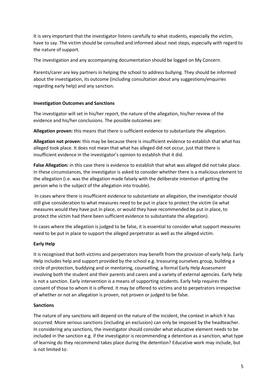It is very important that the investigator listens carefully to what students, especially the victim, have to say. The victim should be consulted and informed about next steps, especially with regard to the nature of support.

The investigation and any accompanying documentation should be logged on My Concern.

Parents/carer are key partners in helping the school to address bullying. They should be informed about the investigation, its outcome (including consultation about any suggestions/enquiries regarding early help) and any sanction.

#### **Investigation Outcomes and Sanctions**

The investigator will set in his/her report, the nature of the allegation, his/her review of the evidence and his/her conclusions. The possible outcomes are:

**Allegation proven:** this means that there is sufficient evidence to substantiate the allegation.

**Allegation not proven:** this may be because there is insufficient evidence to establish that what has alleged took place. It does not mean that what has alleged did not occur, just that there is insufficient evidence in the investigator's opinion to establish that it did.

**False Allegation:** in this case there is evidence to establish that what was alleged did not take place. In these circumstances, the investigator is asked to consider whether there is a malicious element to the allegation (i.e. was the allegation made falsely with the deliberate intention of getting the person who is the subject of the allegation into trouble).

In cases where there is insufficient evidence to substantiate an allegation, the investigator should still give consideration to what measures need to be put in place to protect the victim (ie what measures would they have put in place, or would they have recommended be put in place, to protect the victim had there been sufficient evidence to substantiate the allegation).

In cases where the allegation is judged to be false, it is essential to consider what support measures need to be put in place to support the alleged perpetrator as well as the alleged victim.

## **Early Help**

It is recognised that both victims and perpetrators may benefit from the provision of early help. Early Help includes help and support provided by the school e.g. treasuring ourselves group, building a circle of protection, buddying and or mentoring, counselling, a formal Early Help Assessment involving both the student and their parents and carers and a variety of external agencies. Early help is not a sanction. Early intervention is a means of supporting students. Early help requires the consent of those to whom it is offered. It may be offered to victims and to perpetrators irrespective of whether or not an allegation is proven, not proven or judged to be false.

## **Sanctions**

The nature of any sanctions will depend on the nature of the incident, the context in which it has occurred. More serious sanctions (including an exclusion) can only be imposed by the headteacher. In considering any sanctions, the investigator should consider what educative element needs to be included in the sanction e.g. if the investigator is recommending a detention as a sanction, what type of learning do they recommend takes place during the detention? Educative work may include, but is not limited to: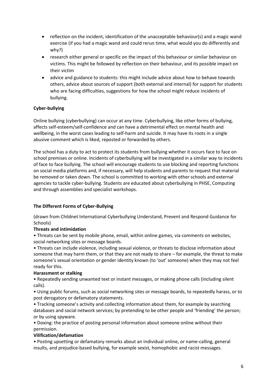- reflection on the incident, identification of the unacceptable behaviour(s) and a magic wand exercise (if you had a magic wand and could rerun time, what would you do differently and why?)
- research either general or specific on the impact of this behaviour or similar behaviour on victims. This might be followed by reflection on their behaviour, and its possible impact on their victim
- advice and guidance to students: this might include advice about how to behave towards others, advice about sources of support (both external and internal) for support for students who are facing difficulties, suggestions for how the school might reduce incidents of bullying.

## **Cyber-bullying**

Online bullying (cyberbullying) can occur at any time. Cyberbullying, like other forms of bullying, affects self-esteem/self-confidence and can have a detrimental effect on mental health and wellbeing, in the worst cases leading to self-harm and suicide. It may have its roots in a single abusive comment which is liked, reposted or forwarded by others.

The school has a duty to act to protect its students from bullying whether it occurs face to face on school premises or online. Incidents of cyberbullying will be investigated in a similar way to incidents of face to face bullying. The school will encourage students to use blocking and reporting functions on social media platforms and, if necessary, will help students and parents to request that material be removed or taken down. The school is committed to working with other schools and external agencies to tackle cyber-bullying. Students are educated about cyberbullying in PHSE, Computing and through assemblies and specialist workshops.

## **The Different Forms of Cyber-Bullying**

(drawn from Childnet International Cyberbullying Understand, Prevent and Respond Guidance for Schools)

## **Threats and intimidation**

• Threats can be sent by mobile phone, email, within online games, via comments on websites, social networking sites or message boards.

• Threats can include violence, including sexual violence, or threats to disclose information about someone that may harm them, or that they are not ready to share – for example, the threat to make someone's sexual orientation or gender identity known (to 'out' someone) when they may not feel ready for this.

## **Harassment or stalking**

• Repeatedly sending unwanted text or instant messages, or making phone calls (including silent calls).

• Using public forums, such as social networking sites or message boards, to repeatedly harass, or to post derogatory or defamatory statements.

• Tracking someone's activity and collecting information about them, for example by searching databases and social network services; by pretending to be other people and 'friending' the person; or by using spyware.

• Doxing: the practice of posting personal information about someone online without their permission.

## **Vilification/defamation**

• Posting upsetting or defamatory remarks about an individual online, or name-calling, general insults, and prejudice-based bullying, for example sexist, homophobic and racist messages.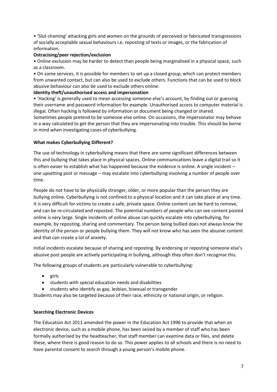• 'Slut-shaming' attacking girls and women on the grounds of perceived or fabricated transgressions of socially acceptable sexual behaviours i.e. reposting of texts or images, or the fabrication of information.

#### **Ostracising/peer rejection/exclusion**

• Online exclusion may be harder to detect than people being marginalised in a physical space, such as a classroom.

• On some services, it is possible for members to set up a closed group, which can protect members from unwanted contact, but can also be used to exclude others. Functions that can be used to block abusive behaviour can also be used to exclude others online.

#### **Identity theft/unauthorised access and impersonation**

• 'Hacking' is generally used to mean accessing someone else's account, by finding out or guessing their username and password information for example. Unauthorised access to computer material is illegal. Often hacking is followed by information or document being changed or shared.

Sometimes people pretend to be someone else online. On occasions, the impersonator may behave in a way calculated to get the person that they are impersonating into trouble. This should be borne in mind when investigating cases of cyberbullying.

#### **What makes Cyberbullying Different?**

The use of technology in cyberbullying means that there are some significant differences between this and bullying that takes place in physical spaces. Online communications leave a digital trail so it is often easier to establish what has happened because the evidence is online. A single incident – one upsetting post or message – may escalate into cyberbullying involving a number of people over time.

People do not have to be physically stronger, older, or more popular than the person they are bullying online. Cyberbullying is not confined to a physical location and it can take place at any time. It is very difficult for victims to create a safe, private space. Online content can be hard to remove, and can be re-circulated and reposted. The potential numbers of people who can see content posted online is very large. Single incidents of online abuse can quickly escalate into cyberbullying, for example, by reposting, sharing and commentary. The person being bullied does not always know the identity of the person or people bullying them. They will not know who has seen the abusive content and that can create a lot of anxiety.

Initial incidents escalate because of sharing and reposting. By endorsing or reposting someone else's abusive post people are actively participating in bullying, although they often don't recognise this.

The following groups of students are particularly vulnerable to cyberbullying:

- $\bullet$  girls
- students with special education needs and disabilities
- **•** students who identify as gay, lesbian, bisexual or transgender

Students may also be targeted because of their race, ethnicity or national origin, or religion.

#### **Searching Electronic Devices**

The Education Act 2011 amended the power in the Education Act 1996 to provide that when an electronic device, such as a mobile phone, has been seized by a member of staff who has been formally authorised by the headteacher, that staff member can examine data or files, and delete these, where there is good reason to do so. This power applies to all schools and there is no need to have parental consent to search through a young person's mobile phone.